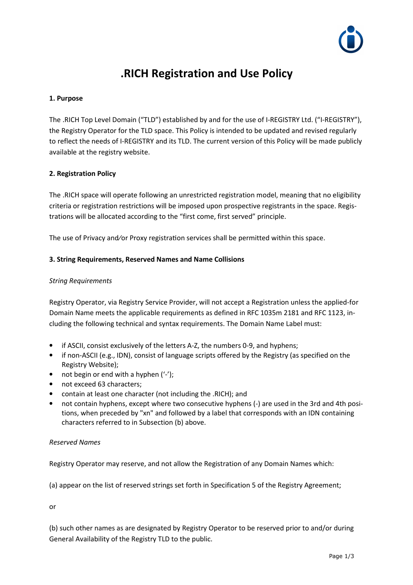

# **.RICH Registration and Use Policy**

# **1. Purpose**

The .RICH Top Level Domain ("TLD") established by and for the use of I-REGISTRY Ltd. ("I-REGISTRY"), the Registry Operator for the TLD space. This Policy is intended to be updated and revised regularly to reflect the needs of I-REGISTRY and its TLD. The current version of this Policy will be made publicly available at the registry website.

## **2. Registration Policy**

The .RICH space will operate following an unrestricted registration model, meaning that no eligibility criteria or registration restrictions will be imposed upon prospective registrants in the space. Registrations will be allocated according to the "first come, first served" principle.

The use of Privacy and/or Proxy registration services shall be permitted within this space.

## **3. String Requirements, Reserved Names and Name Collisions**

## *String Requirements*

Registry Operator, via Registry Service Provider, will not accept a Registration unless the applied-for Domain Name meets the applicable requirements as defined in RFC 1035m 2181 and RFC 1123, including the following technical and syntax requirements. The Domain Name Label must:

- if ASCII, consist exclusively of the letters A-Z, the numbers 0-9, and hyphens;
- if non-ASCII (e.g., IDN), consist of language scripts offered by the Registry (as specified on the Registry Website);
- not begin or end with a hyphen  $('')$ ;
- not exceed 63 characters:
- contain at least one character (not including the .RICH); and
- not contain hyphens, except where two consecutive hyphens (-) are used in the 3rd and 4th positions, when preceded by "xn" and followed by a label that corresponds with an IDN containing characters referred to in Subsection (b) above.

#### *Reserved Names*

Registry Operator may reserve, and not allow the Registration of any Domain Names which:

(a) appear on the list of reserved strings set forth in Specification 5 of the Registry Agreement;

or

(b) such other names as are designated by Registry Operator to be reserved prior to and/or during General Availability of the Registry TLD to the public.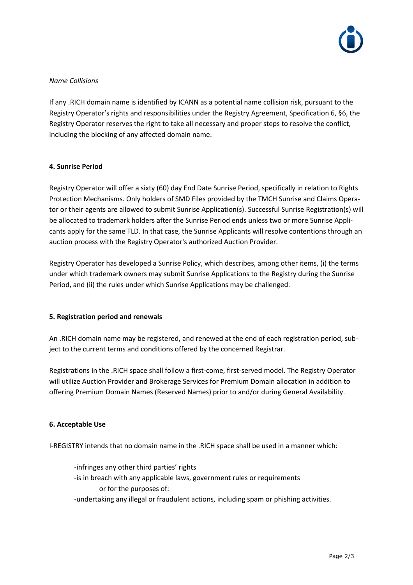

## *Name Collisions*

If any .RICH domain name is identified by ICANN as a potential name collision risk, pursuant to the Registry Operator's rights and responsibilities under the Registry Agreement, Specification 6, §6, the Registry Operator reserves the right to take all necessary and proper steps to resolve the conflict, including the blocking of any affected domain name.

## **4. Sunrise Period**

Registry Operator will offer a sixty (60) day End Date Sunrise Period, specifically in relation to Rights Protection Mechanisms. Only holders of SMD Files provided by the TMCH Sunrise and Claims Operator or their agents are allowed to submit Sunrise Application(s). Successful Sunrise Registration(s) will be allocated to trademark holders after the Sunrise Period ends unless two or more Sunrise Applicants apply for the same TLD. In that case, the Sunrise Applicants will resolve contentions through an auction process with the Registry Operator's authorized Auction Provider.

Registry Operator has developed a Sunrise Policy, which describes, among other items, (i) the terms under which trademark owners may submit Sunrise Applications to the Registry during the Sunrise Period, and (ii) the rules under which Sunrise Applications may be challenged.

#### **5. Registration period and renewals**

An .RICH domain name may be registered, and renewed at the end of each registration period, subject to the current terms and conditions offered by the concerned Registrar.

Registrations in the .RICH space shall follow a first-come, first-served model. The Registry Operator will utilize Auction Provider and Brokerage Services for Premium Domain allocation in addition to offering Premium Domain Names (Reserved Names) prior to and/or during General Availability.

#### **6. Acceptable Use**

I-REGISTRY intends that no domain name in the .RICH space shall be used in a manner which:

-infringes any other third parties' rights -is in breach with any applicable laws, government rules or requirements or for the purposes of: -undertaking any illegal or fraudulent actions, including spam or phishing activities.